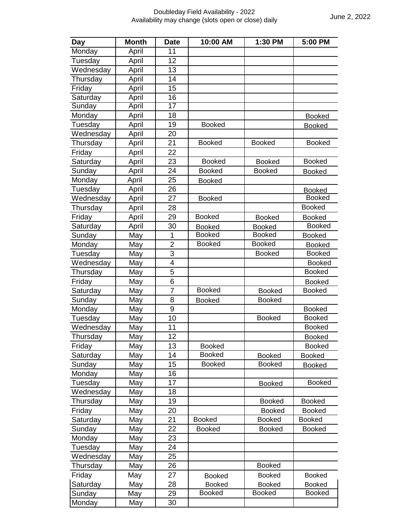|                                                     |              |                 | Doubleday Field Availability - 2022 |               | June 2, 2022  |  |
|-----------------------------------------------------|--------------|-----------------|-------------------------------------|---------------|---------------|--|
| Availability may change (slots open or close) daily |              |                 |                                     |               |               |  |
| Day                                                 | <b>Month</b> | <b>Date</b>     | 10:00 AM                            | 1:30 PM       | 5:00 PM       |  |
| Monday                                              | April        | 11              |                                     |               |               |  |
| Tuesday                                             | April        | 12              |                                     |               |               |  |
| Wednesday                                           | April        | 13              |                                     |               |               |  |
| Thursday                                            | April        | 14              |                                     |               |               |  |
| Friday                                              | April        | 15              |                                     |               |               |  |
| Saturday                                            | April        | 16              |                                     |               |               |  |
| Sunday                                              | April        | 17              |                                     |               |               |  |
| Monday                                              | April        | 18              |                                     |               | <b>Booked</b> |  |
| Tuesday                                             | April        | 19              | <b>Booked</b>                       |               | <b>Booked</b> |  |
| Wednesday                                           | April        | 20              |                                     |               |               |  |
| Thursday                                            | April        | 21              | <b>Booked</b>                       | <b>Booked</b> | <b>Booked</b> |  |
| Friday                                              | April        | 22              |                                     |               |               |  |
|                                                     |              | 23              | <b>Booked</b>                       | <b>Booked</b> | <b>Booked</b> |  |
| Saturday                                            | April        |                 |                                     | <b>Booked</b> |               |  |
| Sunday                                              | April        | 24              | <b>Booked</b>                       |               | <b>Booked</b> |  |
| Monday                                              | April        | 25              | <b>Booked</b>                       |               |               |  |
| Tuesday                                             | April        | 26              |                                     |               | <b>Booked</b> |  |
| Wednesday                                           | April        | 27              | <b>Booked</b>                       |               | <b>Booked</b> |  |
| Thursday                                            | April        | 28              |                                     |               | <b>Booked</b> |  |
| Friday                                              | April        | 29              | <b>Booked</b>                       | <b>Booked</b> | <b>Booked</b> |  |
| Saturday                                            | April        | 30              | <b>Booked</b>                       | <b>Booked</b> | <b>Booked</b> |  |
| Sunday                                              | May          | 1               | <b>Booked</b>                       | <b>Booked</b> | <b>Booked</b> |  |
| Monday                                              | May          | $\overline{2}$  | <b>Booked</b>                       | <b>Booked</b> | <b>Booked</b> |  |
| Tuesday                                             | May          | $\overline{3}$  |                                     | <b>Booked</b> | <b>Booked</b> |  |
| Wednesday                                           | May          | $\overline{4}$  |                                     |               | <b>Booked</b> |  |
| Thursday                                            | May          | 5               |                                     |               | <b>Booked</b> |  |
| Friday                                              | May          | $6\phantom{1}6$ |                                     |               | <b>Booked</b> |  |
| Saturday                                            | May          | $\overline{7}$  | <b>Booked</b>                       | <b>Booked</b> | <b>Booked</b> |  |
| Sunday                                              | May          | 8               | <b>Booked</b>                       | <b>Booked</b> |               |  |
| Monday                                              | May          | 9               |                                     |               | <b>Booked</b> |  |
| Tuesday                                             | May          | 10              |                                     | <b>Booked</b> | <b>Booked</b> |  |
| Wednesday                                           | May          | 11              |                                     |               | <b>Booked</b> |  |
| Thursday                                            | May          | 12              |                                     |               | <b>Booked</b> |  |
| Friday                                              | May          | 13              | <b>Booked</b>                       |               | <b>Booked</b> |  |
| Saturday                                            | May          | 14              | <b>Booked</b>                       | <b>Booked</b> | <b>Booked</b> |  |
| Sunday                                              | May          | 15              | <b>Booked</b>                       | <b>Booked</b> | <b>Booked</b> |  |
| Monday                                              | May          | 16              |                                     |               |               |  |
| Tuesday                                             | May          | 17              |                                     | <b>Booked</b> | <b>Booked</b> |  |
| Wednesday                                           | May          | 18              |                                     |               |               |  |
| Thursday                                            | May          | 19              |                                     | <b>Booked</b> | <b>Booked</b> |  |
| Friday                                              | May          | 20              |                                     | <b>Booked</b> | <b>Booked</b> |  |
| Saturday                                            | May          | 21              | <b>Booked</b>                       | <b>Booked</b> | <b>Booked</b> |  |
| Sunday                                              | May          | 22              | <b>Booked</b>                       | <b>Booked</b> | <b>Booked</b> |  |
| Monday                                              | May          | 23              |                                     |               |               |  |
| Tuesday                                             | May          | 24              |                                     |               |               |  |
|                                                     |              | 25              |                                     |               |               |  |
| Wednesday                                           | May          |                 |                                     | <b>Booked</b> |               |  |
| Thursday                                            | May          | 26              |                                     |               |               |  |
| Friday                                              | May          | 27              | <b>Booked</b>                       | <b>Booked</b> | <b>Booked</b> |  |
| Saturday                                            | May          | 28              | <b>Booked</b>                       | Booked        | <b>Booked</b> |  |
| Sunday                                              | May          | 29              | <b>Booked</b>                       | <b>Booked</b> | <b>Booked</b> |  |
| Monday                                              | May          | 30              |                                     |               |               |  |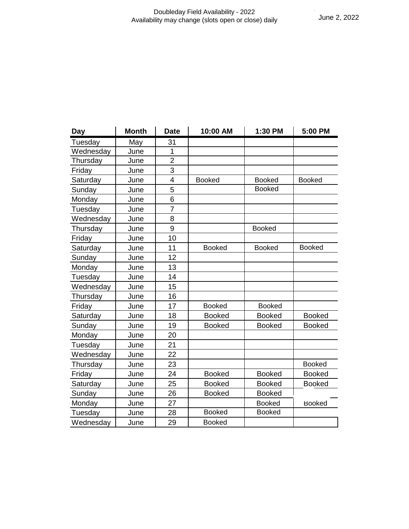## Doubleday Field Availability - 2022 Availability may change (slots open or close) daily

|           |              |                | Availability may change (slots open or close) daily |               | June 2, 2022  |  |
|-----------|--------------|----------------|-----------------------------------------------------|---------------|---------------|--|
|           |              |                |                                                     |               |               |  |
|           |              |                |                                                     |               |               |  |
|           |              |                |                                                     |               |               |  |
|           |              |                |                                                     |               |               |  |
|           |              |                |                                                     |               |               |  |
|           |              |                |                                                     |               |               |  |
|           |              |                |                                                     |               |               |  |
|           |              |                |                                                     |               |               |  |
| Day       | <b>Month</b> | <b>Date</b>    | 10:00 AM                                            | 1:30 PM       | 5:00 PM       |  |
| Tuesday   | May          | 31             |                                                     |               |               |  |
| Wednesday | June         | 1              |                                                     |               |               |  |
| Thursday  | June         | $\overline{2}$ |                                                     |               |               |  |
| Friday    | June         | 3              |                                                     |               |               |  |
| Saturday  | June         | 4              | <b>Booked</b>                                       | <b>Booked</b> | <b>Booked</b> |  |
| Sunday    | June         | 5              |                                                     | <b>Booked</b> |               |  |
| Monday    | June         | 6              |                                                     |               |               |  |
| Tuesday   | June         | $\overline{7}$ |                                                     |               |               |  |
| Wednesday | June         | 8              |                                                     |               |               |  |
| Thursday  | June         | 9              |                                                     | <b>Booked</b> |               |  |
| Friday    | June         | 10             |                                                     |               |               |  |
| Saturday  | June         | 11             | <b>Booked</b>                                       | <b>Booked</b> | <b>Booked</b> |  |
| Sunday    | June         | 12             |                                                     |               |               |  |
| Monday    | June         | 13             |                                                     |               |               |  |
| Tuesday   | June         | 14             |                                                     |               |               |  |
| Wednesday | June         | 15             |                                                     |               |               |  |
| Thursday  | June         | 16             |                                                     |               |               |  |
| Friday    | June         | 17             | <b>Booked</b>                                       | <b>Booked</b> |               |  |
| Saturday  | June         | 18             | <b>Booked</b>                                       | <b>Booked</b> | Booked        |  |
| Sunday    | June         | 19             | <b>Booked</b>                                       | <b>Booked</b> | <b>Booked</b> |  |
| Monday    | June         | 20             |                                                     |               |               |  |
| Tuesday   | June         | 21             |                                                     |               |               |  |
| Wednesday | June         | 22             |                                                     |               |               |  |
| Thursday  | June         | 23             |                                                     |               | <b>Booked</b> |  |
| Friday    | June         | 24             | <b>Booked</b>                                       | <b>Booked</b> | <b>Booked</b> |  |
| Saturday  | June         | 25             | <b>Booked</b>                                       | <b>Booked</b> | <b>Booked</b> |  |
| Sunday    | June         | 26             | <b>Booked</b>                                       | <b>Booked</b> |               |  |
| Monday    | June         | 27             |                                                     | <b>Booked</b> | <b>Booked</b> |  |
| Tuesday   | June         | 28             | <b>Booked</b>                                       | <b>Booked</b> |               |  |
| Wednesday | June         | 29             | <b>Booked</b>                                       |               |               |  |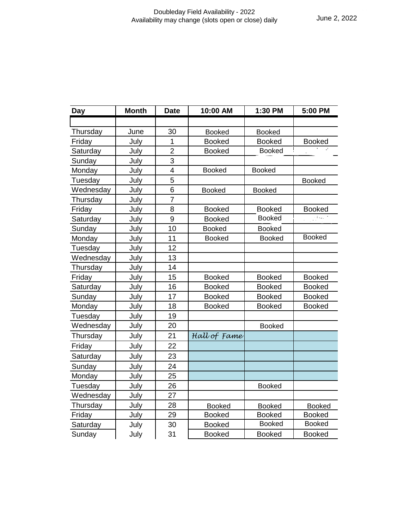## Doubleday Field Availability - 2022 Availability may change (slots open or close) daily

| Day       | <b>Month</b> | <b>Date</b>             | 10:00 AM      | 1:30 PM       | 5:00 PM       |
|-----------|--------------|-------------------------|---------------|---------------|---------------|
|           |              |                         |               |               |               |
| Thursday  | June         | 30                      | <b>Booked</b> | <b>Booked</b> |               |
| Friday    | July         | 1                       | <b>Booked</b> | <b>Booked</b> | <b>Booked</b> |
| Saturday  | July         | $\overline{2}$          | <b>Booked</b> | <b>Booked</b> |               |
| Sunday    | July         | 3                       |               |               |               |
| Monday    | July         | $\overline{\mathbf{4}}$ | <b>Booked</b> | <b>Booked</b> |               |
| Tuesday   | July         | 5                       |               |               | <b>Booked</b> |
| Wednesday | July         | 6                       | <b>Booked</b> | <b>Booked</b> |               |
| Thursday  | July         | $\overline{7}$          |               |               |               |
| Friday    | July         | 8                       | <b>Booked</b> | <b>Booked</b> | <b>Booked</b> |
| Saturday  | July         | 9                       | <b>Booked</b> | <b>Booked</b> | نا ب          |
| Sunday    | July         | 10                      | <b>Booked</b> | <b>Booked</b> |               |
| Monday    | July         | 11                      | <b>Booked</b> | <b>Booked</b> | <b>Booked</b> |
| Tuesday   | July         | 12                      |               |               |               |
| Wednesday | July         | 13                      |               |               |               |
| Thursday  | July         | 14                      |               |               |               |
| Friday    | July         | 15                      | <b>Booked</b> | <b>Booked</b> | <b>Booked</b> |
| Saturday  | July         | 16                      | <b>Booked</b> | <b>Booked</b> | <b>Booked</b> |
| Sunday    | July         | 17                      | <b>Booked</b> | <b>Booked</b> | <b>Booked</b> |
| Monday    | July         | 18                      | <b>Booked</b> | <b>Booked</b> | <b>Booked</b> |
| Tuesday   | July         | 19                      |               |               |               |
| Wednesday | July         | 20                      |               | <b>Booked</b> |               |
| Thursday  | July         | 21                      | Hall of Fame  |               |               |
| Friday    | July         | 22                      |               |               |               |
| Saturday  | July         | 23                      |               |               |               |
| Sunday    | July         | 24                      |               |               |               |
| Monday    | July         | 25                      |               |               |               |
| Tuesday   | July         | 26                      |               | <b>Booked</b> |               |
| Wednesday | July         | 27                      |               |               |               |
| Thursday  | July         | 28                      | <b>Booked</b> | <b>Booked</b> | <b>Booked</b> |
| Friday    | July         | 29                      | <b>Booked</b> | <b>Booked</b> | <b>Booked</b> |
| Saturday  | July         | 30                      | <b>Booked</b> | <b>Booked</b> | <b>Booked</b> |
| Sunday    | July         | 31                      | <b>Booked</b> | <b>Booked</b> | <b>Booked</b> |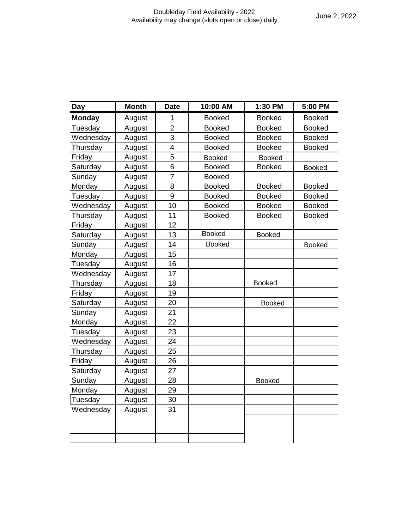|               |              |                | soubicuay i iciu Avaliability - 2022<br>Availability may change (slots open or close) daily |               | June 2, 2022  |
|---------------|--------------|----------------|---------------------------------------------------------------------------------------------|---------------|---------------|
|               |              |                |                                                                                             |               |               |
|               |              |                |                                                                                             |               |               |
|               |              |                |                                                                                             |               |               |
|               |              |                |                                                                                             |               |               |
|               |              |                |                                                                                             |               |               |
|               |              |                |                                                                                             |               |               |
| <b>Day</b>    | <b>Month</b> | <b>Date</b>    | 10:00 AM                                                                                    | 1:30 PM       | 5:00 PM       |
| <b>Monday</b> | August       | 1              | <b>Booked</b>                                                                               | <b>Booked</b> | <b>Booked</b> |
| Tuesday       | August       | $\overline{2}$ | <b>Booked</b>                                                                               | <b>Booked</b> | <b>Booked</b> |
| Wednesday     | August       | 3              | <b>Booked</b>                                                                               | <b>Booked</b> | <b>Booked</b> |
| Thursday      | August       | 4              | <b>Booked</b>                                                                               | <b>Booked</b> | <b>Booked</b> |
| Friday        | August       | 5              | <b>Booked</b>                                                                               | <b>Booked</b> |               |
| Saturday      | August       | 6              | <b>Booked</b>                                                                               | <b>Booked</b> | <b>Booked</b> |
| Sunday        | August       | $\overline{7}$ | <b>Booked</b>                                                                               |               |               |
| Monday        | August       | 8              | <b>Booked</b>                                                                               | <b>Booked</b> | <b>Booked</b> |
| Tuesday       | August       | 9              | <b>Booked</b>                                                                               | <b>Booked</b> | <b>Booked</b> |
| Wednesday     | August       | 10             | <b>Booked</b>                                                                               | <b>Booked</b> | <b>Booked</b> |
| Thursday      | August       | 11             | <b>Booked</b>                                                                               | <b>Booked</b> | <b>Booked</b> |
| Friday        | August       | 12             |                                                                                             |               |               |
| Saturday      | August       | 13             | <b>Booked</b>                                                                               | <b>Booked</b> |               |
| Sunday        | August       | 14             | <b>Booked</b>                                                                               |               | <b>Booked</b> |
| Monday        | August       | 15             |                                                                                             |               |               |
| Tuesday       | August       | 16             |                                                                                             |               |               |
| Wednesday     | August       | 17             |                                                                                             |               |               |
| Thursday      | August       | 18             |                                                                                             | <b>Booked</b> |               |
| Friday        | August       | 19             |                                                                                             |               |               |
| Saturday      | August       | 20             |                                                                                             | <b>Booked</b> |               |
| Sunday        | August       | 21             |                                                                                             |               |               |
| Monday        | August       | 22             |                                                                                             |               |               |
| Tuesday       | August       | 23             |                                                                                             |               |               |
| Wednesday     | August       | 24             |                                                                                             |               |               |
| Thursday      | August       | 25             |                                                                                             |               |               |
| Friday        | August       | 26             |                                                                                             |               |               |
| Saturday      | August       | 27             |                                                                                             |               |               |
| Sunday        | August       | 28             |                                                                                             | <b>Booked</b> |               |
| Monday        | August       | 29             |                                                                                             |               |               |
| Tuesday       | August       | 30             |                                                                                             |               |               |
| Wednesday     | August       | 31             |                                                                                             |               |               |
|               |              |                |                                                                                             |               |               |
|               |              |                |                                                                                             |               |               |
|               |              |                |                                                                                             |               |               |